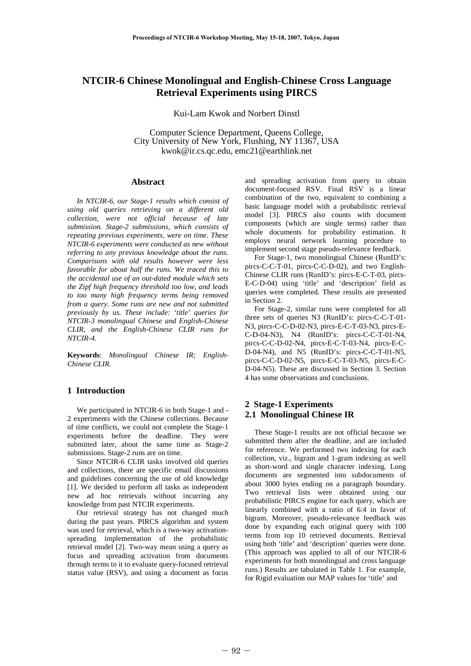# **NTCIR-6 Chinese Monolingual and English-Chinese Cross Language Retrieval Experiments using PIRCS**

Kui-Lam Kwok and Norbert Dinstl

Computer Science Department, Queens College, City University of New York, Flushing, NY 11367, USA kwok@ir.cs.qc.edu, emc21@earthlink.net

#### **Abstract**

 *In NTCIR-6, our Stage-1 results which consist of using old queries retrieving on a different old collection, were not official because of late submission. Stage-2 submissions, which consists of repeating previous experiments, were on time. These NTCIR-6 experiments were conducted as new without referring to any previous knowledge about the runs. Comparisons with old results however were less favorable for about half the runs. We traced this to the accidental use of an out-dated module which sets the Zipf high frequency threshold too low, and leads to too many high frequency terms being removed from a query. Some runs are new and not submitted previously by us. These include: 'title' queries for NTCIR-3 monolingual Chinese and English-Chinese CLIR, and the English-Chinese CLIR runs for NTCIR-4.* 

**Keywords**: *Monolingual Chinese IR; English-Chinese CLIR.* 

#### **1 Introduction**

 We participated in NTCIR-6 in both Stage-1 and - 2 experiments with the Chinese collections. Because of time conflicts, we could not complete the Stage-1 experiments before the deadline. They were submitted later, about the same time as Stage-2 submissions. Stage-2 runs are on time.

 Since NTCIR-6 CLIR tasks involved old queries and collections, there are specific email discussions and guidelines concerning the use of old knowledge [1]. We decided to perform all tasks as independent new ad hoc retrievals without incurring any knowledge from past NTCIR experiments.

 Our retrieval strategy has not changed much during the past years. PIRCS algorithm and system was used for retrieval, which is a two-way activationspreading implementation of the probabilistic retrieval model [2]. Two-way mean using a query as focus and spreading activation from documents through terms to it to evaluate query-focused retrieval status value (RSV), and using a document as focus and spreading activation from query to obtain document-focused RSV. Final RSV is a linear combination of the two, equivalent to combining a basic language model with a probabilistic retrieval model [3]. PIRCS also counts with document components (which are single terms) rather than whole documents for probability estimation. It employs neural network learning procedure to implement second stage pseudo-relevance feedback.

 For Stage-1, two monolingual Chinese (RunID's: pircs-C-C-T-01, pircs-C-C-D-02), and two English-Chinese CLIR runs (RunID's: pircs-E-C-T-03, pircs-E-C-D-04) using 'title' and 'description' field as queries were completed. These results are presented in Section 2.

 For Stage-2, similar runs were completed for all three sets of queries N3 (RunID's: pircs-C-C-T-01- N3, pircs-C-C-D-02-N3, pircs-E-C-T-03-N3, pircs-E-C-D-04-N3), N4 (RunID's: pircs-C-C-T-01-N4, pircs-C-C-D-02-N4, pircs-E-C-T-03-N4, pircs-E-C-D-04-N4), and N5 (RunID's: pircs-C-C-T-01-N5, pircs-C-C-D-02-N5, pircs-E-C-T-03-N5, pircs-E-C-D-04-N5). These are discussed in Section 3. Section 4 has some observations and conclusions.

### **2 Stage-1 Experiments 2.1 Monolingual Chinese IR**

 These Stage-1 results are not official because we submitted them after the deadline, and are included for reference. We performed two indexing for each collection, viz., bigram and 1-gram indexing as well as short-word and single character indexing. Long documents are segmented into subdocuments of about 3000 bytes ending on a paragraph boundary. Two retrieval lists were obtained using our probabilistic PIRCS engine for each query, which are linearly combined with a ratio of 6:4 in favor of bigram. Moreover, pseudo-relevance feedback was done by expanding each original query with 100 terms from top 10 retrieved documents. Retrieval using both 'title' and 'description' queries were done. (This approach was applied to all of our NTCIR-6 experiments for both monolingual and cross language runs.) Results are tabulated in Table 1. For example, for Rigid evaluation our MAP values for 'title' and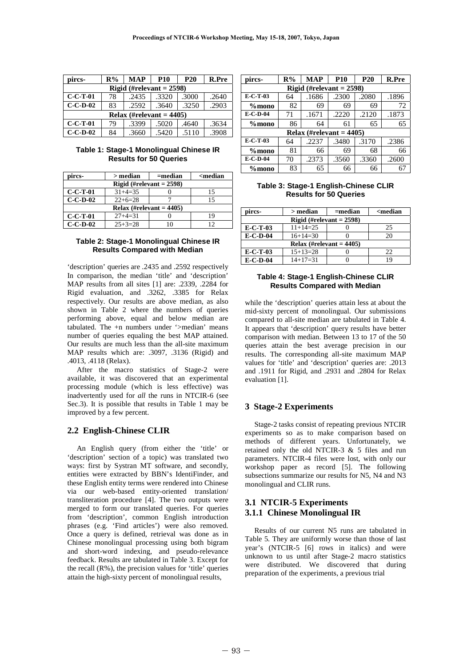| pircs-                      | $R\%$ | <b>MAP</b> | <b>P10</b> | <b>P20</b> | R.Pre |  |  |
|-----------------------------|-------|------------|------------|------------|-------|--|--|
| Rigid (#relevant $= 2598$ ) |       |            |            |            |       |  |  |
| $C-C-T-01$                  | 78    | .2435      | .3320      | .3000      | .2640 |  |  |
| $C-C-D-02$                  | 83    | .2592      | .3640      | .3250      | .2903 |  |  |
| Relax (#relevant = $4405$ ) |       |            |            |            |       |  |  |
| $C-C-T-01$                  | 79    | .3399      | .5020      | .4640      | .3634 |  |  |
| $C-C-D-02$                  | 84    | .3660      | .5420      | .5110      | .3908 |  |  |

**Table 1: Stage-1 Monolingual Chinese IR Results for 50 Queries** 

| pircs-                      | $>$ median    | $=$ median | <median< th=""></median<> |  |  |  |  |
|-----------------------------|---------------|------------|---------------------------|--|--|--|--|
| Rigid (#relevant $= 2598$ ) |               |            |                           |  |  |  |  |
| $C-C-T-01$                  | $31 + 4 = 35$ |            | 15                        |  |  |  |  |
| $C-C-D-02$                  | $22+6=28$     |            | 15                        |  |  |  |  |
| Relax (#relevant = $4405$ ) |               |            |                           |  |  |  |  |
| $C-C-T-01$                  | $27+4=31$     |            | 19                        |  |  |  |  |
| $C-C-D-02$                  | $25 + 3 = 28$ |            | 12                        |  |  |  |  |

#### **Table 2: Stage-1 Monolingual Chinese IR Results Compared with Median**

'description' queries are .2435 and .2592 respectively In comparison, the median 'title' and 'description' MAP results from all sites [1] are: .2339, .2284 for Rigid evaluation, and .3262, .3385 for Relax respectively. Our results are above median, as also shown in Table 2 where the numbers of queries performing above, equal and below median are tabulated. The +n numbers under '>median' means number of queries equaling the best MAP attained. Our results are much less than the all-site maximum MAP results which are: .3097, .3136 (Rigid) and .4013, .4118 (Relax).

 After the macro statistics of Stage-2 were available, it was discovered that an experimental processing module (which is less effective) was inadvertently used for *all* the runs in NTCIR-6 (see Sec.3). It is possible that results in Table 1 may be improved by a few percent.

## **2.2 English-Chinese CLIR**

 An English query (from either the 'title' or 'description' section of a topic) was translated two ways: first by Systran MT software, and secondly, entities were extracted by BBN's IdentiFinder, and these English entity terms were rendered into Chinese via our web-based entity-oriented translation/ transliteration procedure [4]. The two outputs were merged to form our translated queries. For queries from 'description', common English introduction phrases (e.g. 'Find articles') were also removed. Once a query is defined, retrieval was done as in Chinese monolingual processing using both bigram and short-word indexing, and pseudo-relevance feedback. Results are tabulated in Table 3. Except for the recall  $(R\%)$ , the precision values for 'title' queries attain the high-sixty percent of monolingual results,

| pircs-     | $R\%$                       | <b>MAP</b> | <b>P10</b> | <b>P20</b> | R.Pre |  |  |  |
|------------|-----------------------------|------------|------------|------------|-------|--|--|--|
|            | Rigid (#relevant $= 2598$ ) |            |            |            |       |  |  |  |
| $E-C-T-03$ | 64                          | .1686      | .2300      | .2080      | .1896 |  |  |  |
| $\%$ mono  | 82                          | 69         | 69         | 69         | 72    |  |  |  |
| $E-C-D-04$ | 71                          | .1671      | .2220      | .2120      | .1873 |  |  |  |
| $%$ mono   | 86                          | 64         | 61         | 65         | 65    |  |  |  |
|            | Relax (#relevant = $4405$ ) |            |            |            |       |  |  |  |
| $E-C-T-03$ | 64                          | .2237      | .3480      | .3170      | .2386 |  |  |  |
| $%$ mono   | 81                          | 66         | 69         | 68         | 66    |  |  |  |
| $E-C-D-04$ | 70                          | .2373      | .3560      | .3360      | .2600 |  |  |  |
| $%$ mono   | 83                          | 65         | 66         | 66         |       |  |  |  |

**Table 3: Stage-1 English-Chinese CLIR Results for 50 Queries** 

| pircs-     | > median                    | $=$ median | <median< th=""></median<> |
|------------|-----------------------------|------------|---------------------------|
|            | Rigid (#relevant $= 2598$ ) |            |                           |
| $E-C-T-03$ | $11+14=25$                  |            | 25                        |
| $E-C-D-04$ | $16+14=30$                  |            | 20                        |
|            | Relax (#relevant $= 4405$ ) |            |                           |
| $E-C-T-03$ | $15+13=28$                  |            | 22                        |
| $E-C-D-04$ | $14+17=31$                  |            | 19                        |

#### **Table 4: Stage-1 English-Chinese CLIR Results Compared with Median**

while the 'description' queries attain less at about the mid-sixty percent of monolingual. Our submissions compared to all-site median are tabulated in Table 4. It appears that 'description' query results have better comparison with median. Between 13 to 17 of the 50 queries attain the best average precision in our results. The corresponding all-site maximum MAP values for 'title' and 'description' queries are: .2013 and .1911 for Rigid, and .2931 and .2804 for Relax evaluation [1].

## **3 Stage-2 Experiments**

 Stage-2 tasks consist of repeating previous NTCIR experiments so as to make comparison based on methods of different years. Unfortunately, we retained only the old NTCIR-3 & 5 files and run parameters. NTCIR-4 files were lost, with only our workshop paper as record [5]. The following subsections summarize our results for N5, N4 and N3 monolingual and CLIR runs.

## **3.1 NTCIR-5 Experiments 3.1.1 Chinese Monolingual IR**

 Results of our current N5 runs are tabulated in Table 5. They are uniformly worse than those of last year's (NTCIR-5 [6] rows in italics) and were unknown to us until after Stage-2 macro statistics were distributed. We discovered that during preparation of the experiments, a previous trial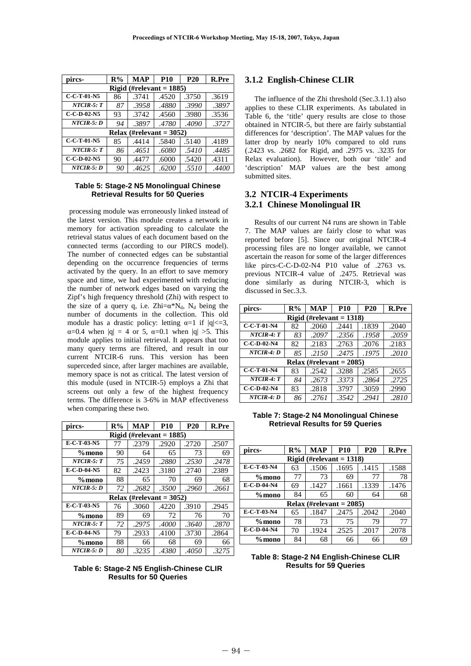| pircs-                      | R%                          | <b>MAP</b> | <b>P10</b> | <b>P20</b> | <b>R.Pre</b> |  |  |
|-----------------------------|-----------------------------|------------|------------|------------|--------------|--|--|
| Rigid (#relevant = $1885$ ) |                             |            |            |            |              |  |  |
| $C-C-T-01-N5$               | 86                          | .3741      | .4520      | .3750      | .3619        |  |  |
| $NTCIR-5: T$                | 87                          | .3958      | .4880      | .3990      | .3897        |  |  |
| $C-C-D-02-N5$               | 93                          | .3742      | .4560      | .3980      | .3536        |  |  |
| $NTCIR-5: D$                | 94                          | .3897      | .4780      | .4090      | .3727        |  |  |
|                             | Relax (#relevant = $3052$ ) |            |            |            |              |  |  |
| $C-C-T-01-N5$               | 85                          | .4414      | .5840      | .5140      | .4189        |  |  |
| $NTCIR-5: T$                | 86                          | .4651      | .6080      | .5410      | .4485        |  |  |
| $C-C-D-02-N5$               | 90                          | .4477      | .6000      | .5420      | .4311        |  |  |
| $NTCIR-5: D$                | 90                          | .4625      | .6200      | .5510      | .4400        |  |  |

#### **Table 5: Stage-2 N5 Monolingual Chinese Retrieval Results for 50 Queries**

 processing module was erroneously linked instead of the latest version. This module creates a network in memory for activation spreading to calculate the retrieval status values of each document based on the connected terms (according to our PIRCS model). The number of connected edges can be substantial depending on the occurrence frequencies of terms activated by the query. In an effort to save memory space and time, we had experimented with reducing the number of network edges based on varying the Zipf's high frequency threshold (Zhi) with respect to the size of a query q, i.e.  $Zhi = \alpha^*N_d$ ,  $N_d$  being the number of documents in the collection. This old module has a drastic policy: letting  $\alpha=1$  if  $|q| \leq 3$ ,  $\alpha=0.4$  when  $|q| = 4$  or 5,  $\alpha=0.1$  when  $|q| > 5$ . This module applies to initial retrieval. It appears that too many query terms are filtered, and result in our current NTCIR-6 runs. This version has been superceded since, after larger machines are available, memory space is not as critical. The latest version of this module (used in NTCIR-5) employs a Zhi that screens out only a few of the highest frequency terms. The difference is 3-6% in MAP effectiveness when comparing these two.

| pircs-                                | $R\%$ | <b>MAP</b> | <b>P10</b>                  | <b>P20</b> | <b>R.Pre</b> |  |  |
|---------------------------------------|-------|------------|-----------------------------|------------|--------------|--|--|
| $(\text{\#relevant} = 1885)$<br>Rigid |       |            |                             |            |              |  |  |
| E-C-T-03-N5                           | 77    | .2379      | .2920                       | .2720      | .2507        |  |  |
| $\%$ mono                             | 90    | 64         | 65                          | 73         | 69           |  |  |
| $NTCIR-5: T$                          | 75    | .2459      | .2880                       | .2530      | .2478        |  |  |
| E-C-D-04-N5                           | 82    | .2423      | .3180                       | .2740      | .2389        |  |  |
| $\%$ mono                             | 88    | 65         | 70                          | 69         | 68           |  |  |
| NTCIR-5: D                            | 72    | .2682      | .3500                       | .2960      | .2661        |  |  |
|                                       |       |            | Relax (#relevant = $3052$ ) |            |              |  |  |
| $E-C-T-03-N5$                         | 76    | .3060      | .4220                       | .3910      | .2945        |  |  |
| $\%$ mono                             | 89    | 69         | 72                          | 76         | 70           |  |  |
| $NTCIR-5: T$                          | 72    | .2975      | .4000                       | .3640      | .2870        |  |  |
| E-C-D-04-N5                           | 79    | .2933      | .4100                       | .3730      | .2864        |  |  |
| $%$ mono                              | 88    | 66         | 68                          | 69         | 66           |  |  |
| NTCIR-5: D                            | 80    | .3235      | .4380                       | .4050      | .3275        |  |  |

### **Table 6: Stage-2 N5 English-Chinese CLIR Results for 50 Queries**

#### **3.1.2 English-Chinese CLIR**

 The influence of the Zhi threshold (Sec.3.1.1) also applies to these CLIR experiments. As tabulated in Table 6, the 'title' query results are close to those obtained in NTCIR-5, but there are fairly substantial differences for 'description'. The MAP values for the latter drop by nearly 10% compared to old runs (.2423 vs. .2682 for Rigid, and .2975 vs. .3235 for Relax evaluation). However, both our 'title' and 'description' MAP values are the best among submitted sites.

## **3.2 NTCIR-4 Experiments 3.2.1 Chinese Monolingual IR**

 Results of our current N4 runs are shown in Table 7. The MAP values are fairly close to what was reported before [5]. Since our original NTCIR-4 processing files are no longer available, we cannot ascertain the reason for some of the larger differences like pircs-C-C-D-02-N4 P10 value of .2763 vs. previous NTCIR-4 value of .2475. Retrieval was done similarly as during NTCIR-3, which is discussed in Sec.3.3.

| pircs-                      | $R\%$                       | <b>MAP</b> | <b>P10</b> | <b>P20</b> | <b>R.Pre</b> |  |  |
|-----------------------------|-----------------------------|------------|------------|------------|--------------|--|--|
| Rigid (#relevant $= 1318$ ) |                             |            |            |            |              |  |  |
| C-C-T-01-N4                 | 82                          | .2060      | .2441      | .1839      | .2040        |  |  |
| $NTCIR-4: T$                | 83                          | .2097      | .2356      | .1958      | .2059        |  |  |
| $C-C-D-02-N4$               | 82                          | .2183      | .2763      | .2076      | .2183        |  |  |
| $NTCIR-4: D$                | 85                          | .2150      | .2475      | .1975      | .2010        |  |  |
|                             | Relax (#relevant = $2085$ ) |            |            |            |              |  |  |
| $C-C-T-01-N4$               | 83                          | .2542      | .3288      | .2585      | .2655        |  |  |
| $NTCIR-4: T$                | 84                          | .2673      | .3373      | .2864      | .2725        |  |  |
| $C-C-D-02-N4$               | 83                          | .2818      | .3797      | .3059      | .2990        |  |  |
| $NTCIR-4: D$                | 86                          | .2761      | .3542      | .2941      | .2810        |  |  |

**Table 7: Stage-2 N4 Monolingual Chinese Retrieval Results for 59 Queries** 

| pircs-                      | $R\%$ | <b>MAP</b>                  | <b>P10</b> | <b>P20</b> | R.Pre |  |  |
|-----------------------------|-------|-----------------------------|------------|------------|-------|--|--|
| Rigid (#relevant $= 1318$ ) |       |                             |            |            |       |  |  |
| E-C-T-03-N4                 | 63    | .1506                       | .1695      | .1415      | .1588 |  |  |
| $%$ mono                    | 77    | 73                          | 69         | 77         | 78    |  |  |
| E-C-D-04-N4                 | 69    | .1427                       | .1661      | .1339      | .1476 |  |  |
| $%$ mono                    | 84    | 65                          | 60         | 64         | 68    |  |  |
|                             |       | Relax (#relevant = $2085$ ) |            |            |       |  |  |
| E-C-T-03-N4                 | 65    | .1847                       | .2475      | .2042      | .2040 |  |  |
| $%$ mono                    | 78    | 73                          | 75         | 79         | 77    |  |  |
| E-C-D-04-N4                 | 70    | .1924                       | .2525      | .2017      | .2078 |  |  |
| $\%$ mono                   | 84    | 68                          | 66         | 66         | 69    |  |  |

#### **Table 8: Stage-2 N4 English-Chinese CLIR Results for 59 Queries**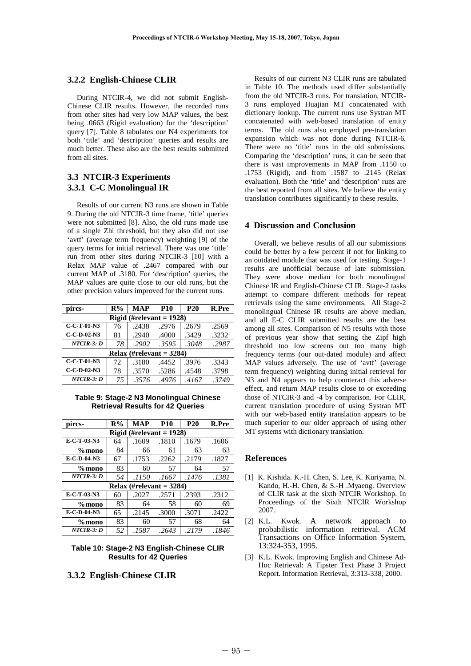#### **3.2.2 English-Chinese CLIR**

 During NTCIR-4, we did not submit English-Chinese CLIR results. However, the recorded runs from other sites had very low MAP values, the best being .0663 (Rigid evaluation) for the 'description' query [7]. Table 8 tabulates our N4 experiments for both 'title' and 'description' queries and results are much better. These also are the best results submitted from all sites.

## **3.3 NTCIR-3 Experiments 3.3.1 C-C Monolingual IR**

 Results of our current N3 runs are shown in Table 9. During the old NTCIR-3 time frame, 'title' queries were not submitted [8]. Also, the old runs made use of a single Zhi threshold, but they also did not use 'avtf' (average term frequency) weighting [9] of the query terms for initial retrieval. There was one 'title' run from other sites during NTCIR-3 [10] with a Relax MAP value of .2467 compared with our current MAP of .3180. For 'description' queries, the MAP values are quite close to our old runs, but the other precision values improved for the current runs.

| pircs-                      | R% | <b>MAP</b> | <b>P10</b> | <b>P20</b> | <b>R.Pre</b> |  |  |
|-----------------------------|----|------------|------------|------------|--------------|--|--|
| Rigid (#relevant $= 1928$ ) |    |            |            |            |              |  |  |
| C-C-T-01-N3                 | 76 | .2438      | .2976      | .2679      | .2569        |  |  |
| $C-C-D-02-N3$               | 81 | .2940      | .4000      | .3429      | .3232        |  |  |
| $NTCIR-3: D$                | 78 | .2902      | .3595      | .3048      | .2987        |  |  |
| Relax (#relevant = $3284$ ) |    |            |            |            |              |  |  |
| $C-C-T-01-N3$               | 72 | .3180      | .4452      | .3976      | .3343        |  |  |
| $C-C-D-02-N3$               | 78 | .3570      | .5286      | .4548      | .3798        |  |  |
| $NTCIR-3: D$                | 75 | .3576      | .4976      | .4167      | .3749        |  |  |

#### **Table 9: Stage-2 N3 Monolingual Chinese Retrieval Results for 42 Queries**

| pircs-                      | $R\%$ | MAP                         | <b>P10</b> | <b>P20</b> | <b>R.Pre</b> |  |  |
|-----------------------------|-------|-----------------------------|------------|------------|--------------|--|--|
| Rigid (#relevant $= 1928$ ) |       |                             |            |            |              |  |  |
| E-C-T-03-N3                 | 64    | .1609                       | .1810      | .1679      | .1606        |  |  |
| %mono                       | 84    | 66                          | 61         | 63         | 63           |  |  |
| E-C-D-04-N3                 | 67    | .1753                       | .2262      | .2179      | .1827        |  |  |
| $\%$ mono                   | 83    | 60                          | 57         | 64         | 57           |  |  |
| NTCIR-3: D                  | 54    | .1150                       | .1667      | .1476      | .1381        |  |  |
|                             |       | Relax (#relevant = $3284$ ) |            |            |              |  |  |
| E-C-T-03-N3                 | 60    | .2027                       | .2571      | .2393      | .2312        |  |  |
| $\%$ mono                   | 83    | 64                          | 58         | 60         | 69           |  |  |
| E-C-D-04-N3                 | 65    | .2145                       | .3000      | .3071      | .2422        |  |  |
| $\%$ mono                   | 83    | 60                          | 57         | 68         | 64           |  |  |
| NTCIR-3: D                  | 52    | .1587                       | .2643      | .2179      | .1846        |  |  |

#### **Table 10: Stage-2 N3 English-Chinese CLIR Results for 42 Queries**

## **3.3.2 English-Chinese CLIR**

 Results of our current N3 CLIR runs are tabulated in Table 10. The methods used differ substantially from the old NTCIR-3 runs. For translation, NTCIR-3 runs employed Huajian MT concatenated with dictionary lookup. The current runs use Systran MT concatenated with web-based translation of entity terms. The old runs also employed pre-translation expansion which was not done during NTCIR-6. There were no 'title' runs in the old submissions. Comparing the 'description' runs, it can be seen that there is vast improvements in MAP from .1150 to .1753 (Rigid), and from .1587 to .2145 (Relax evaluation). Both the 'title' and 'description' runs are the best reported from all sites. We believe the entity translation contributes significantly to these results.

## **4 Discussion and Conclusion**

 Overall, we believe results of all our submissions could be better by a few percent if not for linking to an outdated module that was used for testing. Stage-1 results are unofficial because of late submission. They were above median for both monolingual Chinese IR and English-Chinese CLIR. Stage-2 tasks attempt to compare different methods for repeat retrievals using the same environments. All Stage-2 monolingual Chinese IR results are above median, and all E-C CLIR submitted results are the best among all sites. Comparison of N5 results with those of previous year show that setting the Zipf high threshold too low screens out too many high frequency terms (our out-dated module) and affect MAP values adversely. The use of 'avtf' (average term frequency) weighting during initial retrieval for N3 and N4 appears to help counteract this adverse effect, and return MAP results close to or exceeding those of NTCIR-3 and -4 by comparison. For CLIR, current translation procedure of using Systran MT with our web-based entity translation appears to be much superior to our older approach of using other MT systems with dictionary translation.

#### **References**

- [1] K. Kishida. K.-H. Chen, S. Lee, K. Kuriyama, N. Kando, H.-H. Chen, & S.-H .Myaeng. Overview of CLIR task at the sixth NTCIR Workshop. In Proceedings of the Sixth NTCIR Workshop 2007.
- [2] K.L. Kwok. A network approach to probabilistic information retrieval. ACM Transactions on Office Information System, 13:324-353, 1995.
- [3] K.L. Kwok. Improving English and Chinese Ad-Hoc Retrieval: A Tipster Text Phase 3 Project Report. Information Retrieval, 3:313-338, 2000.